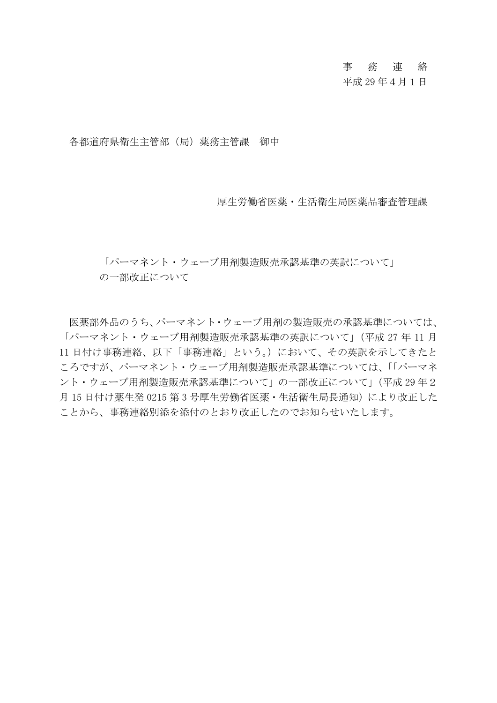# 事 務 連 絡

# 平成 29 年4月1日

各都道府県衛生主管部(局)薬務主管課 御中

厚生労働省医薬・生活衛生局医薬品審査管理課

「パーマネント・ウェーブ用剤製造販売承認基準の英訳について」

の一部改正について

医薬部外品のうち、パーマネント・ウェーブ用剤の製造販売の承認基準については、 「パーマネント・ウェーブ用剤製造販売承認基準の英訳について」(平成 27 年 11 月 11 日付け事務連絡、以下「事務連絡」という。)において、その英訳を示してきたと ころですが、パーマネント・ウェーブ用剤製造販売承認基準については、「「パーマネ ント・ウェーブ用剤製造販売承認基準について」の一部改正について」(平成 29 年2 月15日付け薬生発 0215 第3号厚生労働省医薬・生活衛生局長通知)により改正した ことから、事務連絡別添を添付のとおり改正したのでお知らせいたします。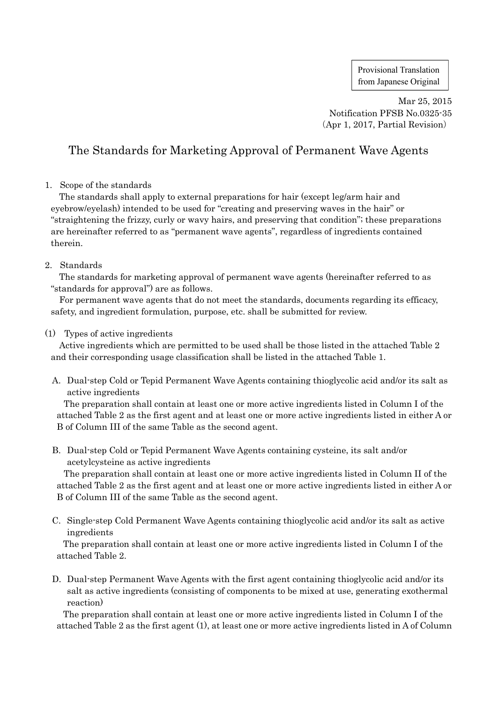Provisional Translation from Japanese Original

Mar 25, 2015 Notification PFSB No.0325-35 (Apr 1, 2017, Partial Revision)

# The Standards for Marketing Approval of Permanent Wave Agents

# 1. Scope of the standards

The standards shall apply to external preparations for hair (except leg/arm hair and eyebrow/eyelash) intended to be used for "creating and preserving waves in the hair" or "straightening the frizzy, curly or wavy hairs, and preserving that condition"; these preparations are hereinafter referred to as "permanent wave agents", regardless of ingredients contained therein.

# 2. Standards

The standards for marketing approval of permanent wave agents (hereinafter referred to as "standards for approval") are as follows.

For permanent wave agents that do not meet the standards, documents regarding its efficacy, safety, and ingredient formulation, purpose, etc. shall be submitted for review.

# (1) Types of active ingredients

Active ingredients which are permitted to be used shall be those listed in the attached Table 2 and their corresponding usage classification shall be listed in the attached Table 1.

A. Dual-step Cold or Tepid Permanent Wave Agents containing thioglycolic acid and/or its salt as active ingredients

The preparation shall contain at least one or more active ingredients listed in Column I of the attached Table 2 as the first agent and at least one or more active ingredients listed in either A or B of Column III of the same Table as the second agent.

B. Dual-step Cold or Tepid Permanent Wave Agents containing cysteine, its salt and/or acetylcysteine as active ingredients

The preparation shall contain at least one or more active ingredients listed in Column II of the attached Table 2 as the first agent and at least one or more active ingredients listed in either A or B of Column III of the same Table as the second agent.

C. Single-step Cold Permanent Wave Agents containing thioglycolic acid and/or its salt as active ingredients

The preparation shall contain at least one or more active ingredients listed in Column I of the attached Table 2.

D. Dual-step Permanent Wave Agents with the first agent containing thioglycolic acid and/or its salt as active ingredients (consisting of components to be mixed at use, generating exothermal reaction)

The preparation shall contain at least one or more active ingredients listed in Column I of the attached Table 2 as the first agent (1), at least one or more active ingredients listed in A of Column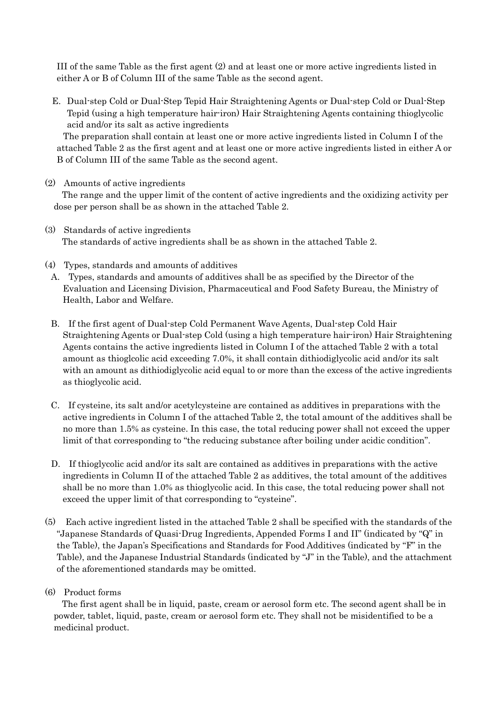III of the same Table as the first agent (2) and at least one or more active ingredients listed in either A or B of Column III of the same Table as the second agent.

E. Dual-step Cold or Dual-Step Tepid Hair Straightening Agents or Dual-step Cold or Dual-Step Tepid (using a high temperature hair-iron) Hair Straightening Agents containing thioglycolic acid and/or its salt as active ingredients

The preparation shall contain at least one or more active ingredients listed in Column I of the attached Table 2 as the first agent and at least one or more active ingredients listed in either A or B of Column III of the same Table as the second agent.

(2) Amounts of active ingredients

The range and the upper limit of the content of active ingredients and the oxidizing activity per dose per person shall be as shown in the attached Table 2.

- (3) Standards of active ingredients The standards of active ingredients shall be as shown in the attached Table 2.
- (4) Types, standards and amounts of additives
- A. Types, standards and amounts of additives shall be as specified by the Director of the Evaluation and Licensing Division, Pharmaceutical and Food Safety Bureau, the Ministry of Health, Labor and Welfare.
- B. If the first agent of Dual-step Cold Permanent Wave Agents, Dual-step Cold Hair Straightening Agents or Dual-step Cold (using a high temperature hair-iron) Hair Straightening Agents contains the active ingredients listed in Column I of the attached Table 2 with a total amount as thioglcolic acid exceeding 7.0%, it shall contain dithiodiglycolic acid and/or its salt with an amount as dithiodiglycolic acid equal to or more than the excess of the active ingredients as thioglycolic acid.
- C. If cysteine, its salt and/or acetylcysteine are contained as additives in preparations with the active ingredients in Column I of the attached Table 2, the total amount of the additives shall be no more than 1.5% as cysteine. In this case, the total reducing power shall not exceed the upper limit of that corresponding to "the reducing substance after boiling under acidic condition".
- D. If thioglycolic acid and/or its salt are contained as additives in preparations with the active ingredients in Column II of the attached Table 2 as additives, the total amount of the additives shall be no more than 1.0% as thioglycolic acid. In this case, the total reducing power shall not exceed the upper limit of that corresponding to "cysteine".
- (5) Each active ingredient listed in the attached Table 2 shall be specified with the standards of the "Japanese Standards of Quasi-Drug Ingredients, Appended Forms I and II" (indicated by "Q" in the Table), the Japan's Specifications and Standards for Food Additives (indicated by "F" in the Table), and the Japanese Industrial Standards (indicated by "J" in the Table), and the attachment of the aforementioned standards may be omitted.
- (6) Product forms

The first agent shall be in liquid, paste, cream or aerosol form etc. The second agent shall be in powder, tablet, liquid, paste, cream or aerosol form etc. They shall not be misidentified to be a medicinal product.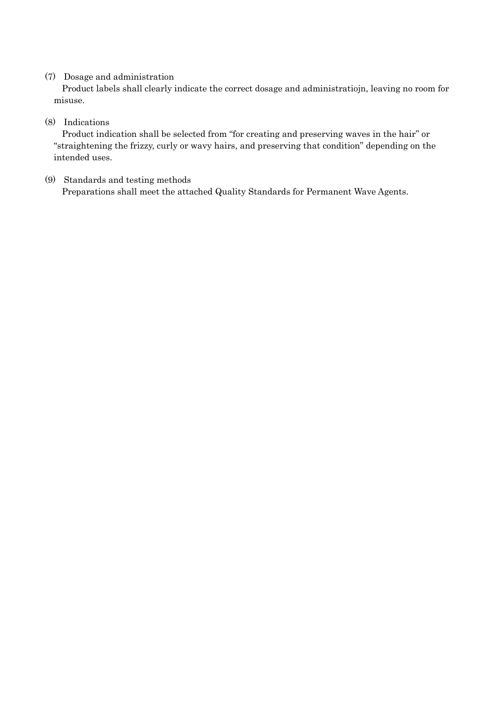# (7) Dosage and administration

Product labels shall clearly indicate the correct dosage and administratiojn, leaving no room for misuse.

# (8) Indications

Product indication shall be selected from "for creating and preserving waves in the hair" or "straightening the frizzy, curly or wavy hairs, and preserving that condition" depending on the intended uses.

(9) Standards and testing methods Preparations shall meet the attached Quality Standards for Permanent Wave Agents.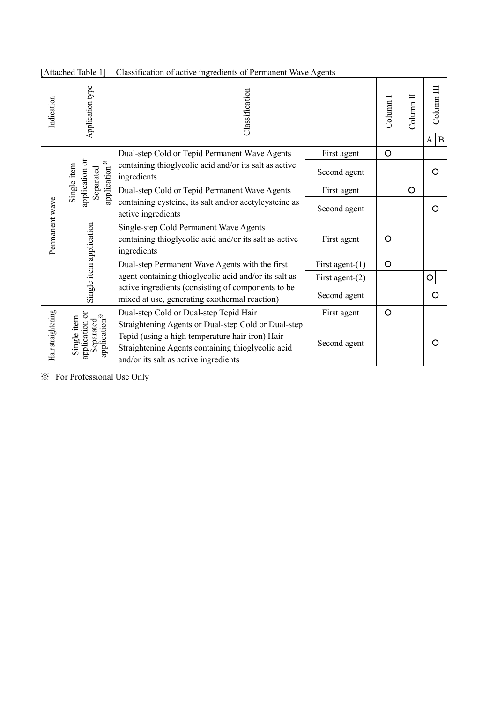| Indication         | Application type                                                       | Classification                                                                                                                                                                                       |                    | Column 1 | Column <sub>II</sub> | $\mathbb{C}$ olumn $\mathbb{H}$<br>B<br>A |
|--------------------|------------------------------------------------------------------------|------------------------------------------------------------------------------------------------------------------------------------------------------------------------------------------------------|--------------------|----------|----------------------|-------------------------------------------|
| Permanent wave     | application or<br>application <sup>※</sup><br>Single item<br>Separated | Dual-step Cold or Tepid Permanent Wave Agents                                                                                                                                                        | First agent        | $\circ$  |                      |                                           |
|                    |                                                                        | containing thioglycolic acid and/or its salt as active<br>ingredients                                                                                                                                | Second agent       |          |                      | O                                         |
|                    |                                                                        | Dual-step Cold or Tepid Permanent Wave Agents                                                                                                                                                        | First agent        |          | $\circ$              |                                           |
|                    |                                                                        | containing cysteine, its salt and/or acetylcysteine as<br>active ingredients                                                                                                                         | Second agent       |          |                      | O                                         |
|                    | Single item application                                                | Single-step Cold Permanent Wave Agents<br>containing thioglycolic acid and/or its salt as active<br>ingredients                                                                                      | First agent        | O        |                      |                                           |
|                    |                                                                        | Dual-step Permanent Wave Agents with the first                                                                                                                                                       | First agent- $(1)$ | $\circ$  |                      |                                           |
|                    |                                                                        | agent containing thioglycolic acid and/or its salt as                                                                                                                                                | First agent- $(2)$ |          |                      | $\circ$                                   |
|                    |                                                                        | active ingredients (consisting of components to be<br>mixed at use, generating exothermal reaction)                                                                                                  | Second agent       |          |                      | O                                         |
| Hair straightening |                                                                        | Dual-step Cold or Dual-step Tepid Hair                                                                                                                                                               | First agent        | O        |                      |                                           |
|                    | application or<br>application <sup>※</sup><br>Single item<br>Separated | Straightening Agents or Dual-step Cold or Dual-step<br>Tepid (using a high temperature hair-iron) Hair<br>Straightening Agents containing thioglycolic acid<br>and/or its salt as active ingredients | Second agent       |          |                      | O                                         |

[Attached Table 1] Classification of active ingredients of Permanent Wave Agents

※ For Professional Use Only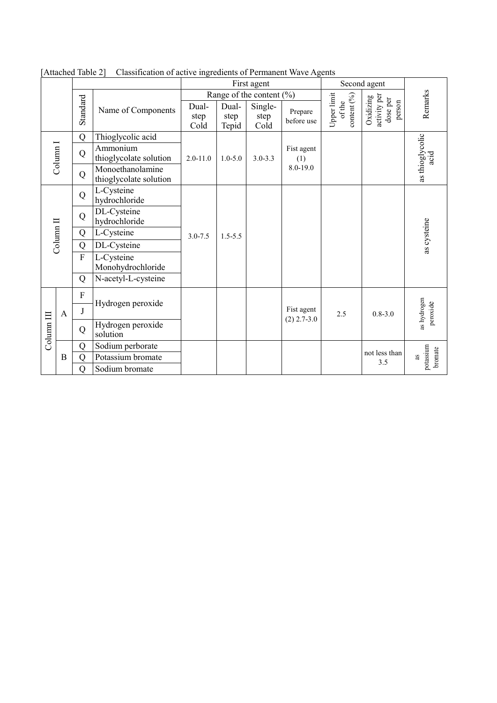|                       |                     |                |                                            | First agent                  |                        |                                     | Second agent                  |                                      |                                                 |                            |
|-----------------------|---------------------|----------------|--------------------------------------------|------------------------------|------------------------|-------------------------------------|-------------------------------|--------------------------------------|-------------------------------------------------|----------------------------|
|                       |                     |                | Name of Components                         | Range of the content $(\% )$ |                        |                                     |                               |                                      |                                                 |                            |
|                       |                     | Standard       |                                            | Dual-<br>step<br>Cold        | Dual-<br>step<br>Tepid | Single-<br>step<br>Co <sub>Id</sub> | Prepare<br>before use         | Upper limit<br>content (%)<br>of the | activity per<br>Oxidizing<br>dose per<br>person | Remarks                    |
|                       |                     | Q              | Thioglycolic acid                          | $2.0 - 11.0$                 | $1.0 - 5.0$            | $3.0 - 3.3$                         | Fist agent<br>(1)<br>8.0-19.0 |                                      |                                                 |                            |
|                       | Column <sub>I</sub> | Q              | Ammonium<br>thioglycolate solution         |                              |                        |                                     |                               |                                      |                                                 | as thioglycolic<br>acid    |
|                       |                     | Q              | Monoethanolamine<br>thioglycolate solution |                              |                        |                                     |                               |                                      |                                                 |                            |
| Column <sub>II</sub>  |                     | Q              | L-Cysteine<br>hydrochloride                |                              | $1.5 - 5.5$            |                                     |                               |                                      |                                                 |                            |
|                       |                     | Q              | DL-Cysteine<br>hydrochloride               | $3.0 - 7.5$                  |                        |                                     |                               |                                      |                                                 |                            |
|                       |                     | Q              | L-Cysteine                                 |                              |                        |                                     |                               |                                      |                                                 | as cysteine                |
|                       |                     | Q              | DL-Cysteine                                |                              |                        |                                     |                               |                                      |                                                 |                            |
|                       |                     | $\overline{F}$ | L-Cysteine<br>Monohydrochloride            |                              |                        |                                     |                               |                                      |                                                 |                            |
|                       |                     | Q              | N-acetyl-L-cysteine                        |                              |                        |                                     |                               |                                      |                                                 |                            |
| Column <sub>III</sub> | $\mathbf{A}$        | F              | Hydrogen peroxide                          |                              |                        |                                     | Fist agent<br>$(2)$ 2.7-3.0   | 2.5                                  | $0.8 - 3.0$                                     | as hydrogen<br>peroxide    |
|                       |                     | J              |                                            |                              |                        |                                     |                               |                                      |                                                 |                            |
|                       |                     | Q              | Hydrogen peroxide<br>solution              |                              |                        |                                     |                               |                                      |                                                 |                            |
|                       | $\bf{B}$            | Q              | Sodium perborate                           |                              |                        |                                     |                               |                                      | not less than                                   |                            |
|                       |                     | Q              | Potassium bromate                          |                              |                        |                                     |                               |                                      | 3.5                                             | potassium<br>bromate<br>as |
|                       |                     | Q              | Sodium bromate                             |                              |                        |                                     |                               |                                      |                                                 |                            |

[Attached Table 2] Classification of active ingredients of Permanent Wave Agents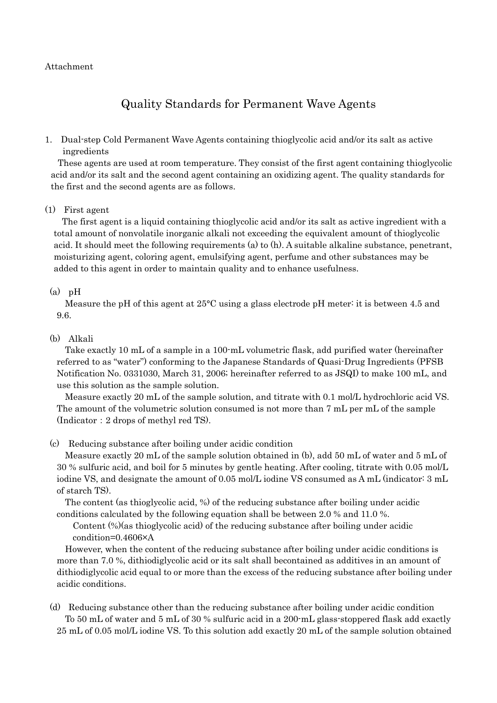## Attachment

# Quality Standards for Permanent Wave Agents

1. Dual-step Cold Permanent Wave Agents containing thioglycolic acid and/or its salt as active ingredients

These agents are used at room temperature. They consist of the first agent containing thioglycolic acid and/or its salt and the second agent containing an oxidizing agent. The quality standards for the first and the second agents are as follows.

(1) First agent

The first agent is a liquid containing thioglycolic acid and/or its salt as active ingredient with a total amount of nonvolatile inorganic alkali not exceeding the equivalent amount of thioglycolic acid. It should meet the following requirements (a) to (h). A suitable alkaline substance, penetrant, moisturizing agent, coloring agent, emulsifying agent, perfume and other substances may be added to this agent in order to maintain quality and to enhance usefulness.

## $(a)$  pH

Measure the pH of this agent at 25°C using a glass electrode pH meter: it is between 4.5 and 9.6.

## (b) Alkali

Take exactly 10 mL of a sample in a 100-mL volumetric flask, add purified water (hereinafter referred to as "water") conforming to the Japanese Standards of Quasi-Drug Ingredients (PFSB Notification No. 0331030, March 31, 2006; hereinafter referred to as JSQI) to make 100 mL, and use this solution as the sample solution.

Measure exactly 20 mL of the sample solution, and titrate with 0.1 mol/L hydrochloric acid VS. The amount of the volumetric solution consumed is not more than 7 mL per mL of the sample (Indicator:2 drops of methyl red TS).

(c) Reducing substance after boiling under acidic condition

Measure exactly 20 mL of the sample solution obtained in (b), add 50 mL of water and 5 mL of 30 % sulfuric acid, and boil for 5 minutes by gentle heating. After cooling, titrate with 0.05 mol/L iodine VS, and designate the amount of 0.05 mol/L iodine VS consumed as A mL (indicator: 3 mL of starch TS).

The content (as thioglycolic acid, %) of the reducing substance after boiling under acidic conditions calculated by the following equation shall be between 2.0 % and 11.0 %.

Content (%)(as thioglycolic acid) of the reducing substance after boiling under acidic condition=0.4606×A

However, when the content of the reducing substance after boiling under acidic conditions is more than 7.0 %, dithiodiglycolic acid or its salt shall becontained as additives in an amount of dithiodiglycolic acid equal to or more than the excess of the reducing substance after boiling under acidic conditions.

(d) Reducing substance other than the reducing substance after boiling under acidic condition To 50 mL of water and 5 mL of 30 % sulfuric acid in a 200-mL glass-stoppered flask add exactly 25 mL of 0.05 mol/L iodine VS. To this solution add exactly 20 mL of the sample solution obtained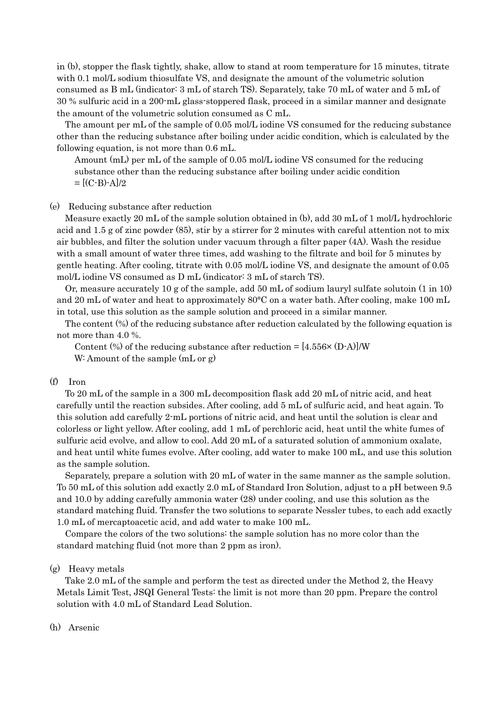in (b), stopper the flask tightly, shake, allow to stand at room temperature for 15 minutes, titrate with 0.1 mol/L sodium thiosulfate VS, and designate the amount of the volumetric solution consumed as B mL (indicator: 3 mL of starch TS). Separately, take 70 mL of water and 5 mL of 30 % sulfuric acid in a 200-mL glass-stoppered flask, proceed in a similar manner and designate the amount of the volumetric solution consumed as C mL.

The amount per mL of the sample of 0.05 mol/L iodine VS consumed for the reducing substance other than the reducing substance after boiling under acidic condition, which is calculated by the following equation, is not more than 0.6 mL.

Amount (mL) per mL of the sample of 0.05 mol/L iodine VS consumed for the reducing substance other than the reducing substance after boiling under acidic condition  $= [({\rm C-B})$ -A]/2

#### (e) Reducing substance after reduction

Measure exactly 20 mL of the sample solution obtained in (b), add 30 mL of 1 mol/L hydrochloric acid and 1.5 g of zinc powder (85), stir by a stirrer for 2 minutes with careful attention not to mix air bubbles, and filter the solution under vacuum through a filter paper (4A). Wash the residue with a small amount of water three times, add washing to the filtrate and boil for 5 minutes by gentle heating. After cooling, titrate with 0.05 mol/L iodine VS, and designate the amount of 0.05 mol/L iodine VS consumed as D mL (indicator: 3 mL of starch TS).

Or, measure accurately 10 g of the sample, add 50 mL of sodium lauryl sulfate solutoin (1 in 10) and 20 mL of water and heat to approximately 80°C on a water bath. After cooling, make 100 mL in total, use this solution as the sample solution and proceed in a similar manner.

The content (%) of the reducing substance after reduction calculated by the following equation is not more than 4.0 %.

Content  $\degree$ ) of the reducing substance after reduction = [4.556 $\times$  (D-A)]/W W: Amount of the sample (mL or g)

# (f) Iron

To 20 mL of the sample in a 300 mL decomposition flask add 20 mL of nitric acid, and heat carefully until the reaction subsides. After cooling, add 5 mL of sulfuric acid, and heat again. To this solution add carefully 2-mL portions of nitric acid, and heat until the solution is clear and colorless or light yellow. After cooling, add 1 mL of perchloric acid, heat until the white fumes of sulfuric acid evolve, and allow to cool. Add 20 mL of a saturated solution of ammonium oxalate, and heat until white fumes evolve. After cooling, add water to make 100 mL, and use this solution as the sample solution.

Separately, prepare a solution with 20 mL of water in the same manner as the sample solution. To 50 mL of this solution add exactly 2.0 mL of Standard Iron Solution, adjust to a pH between 9.5 and 10.0 by adding carefully ammonia water (28) under cooling, and use this solution as the standard matching fluid. Transfer the two solutions to separate Nessler tubes, to each add exactly 1.0 mL of mercaptoacetic acid, and add water to make 100 mL.

Compare the colors of the two solutions: the sample solution has no more color than the standard matching fluid (not more than 2 ppm as iron).

#### (g) Heavy metals

Take 2.0 mL of the sample and perform the test as directed under the Method 2, the Heavy Metals Limit Test, JSQI General Tests: the limit is not more than 20 ppm. Prepare the control solution with 4.0 mL of Standard Lead Solution.

#### (h) Arsenic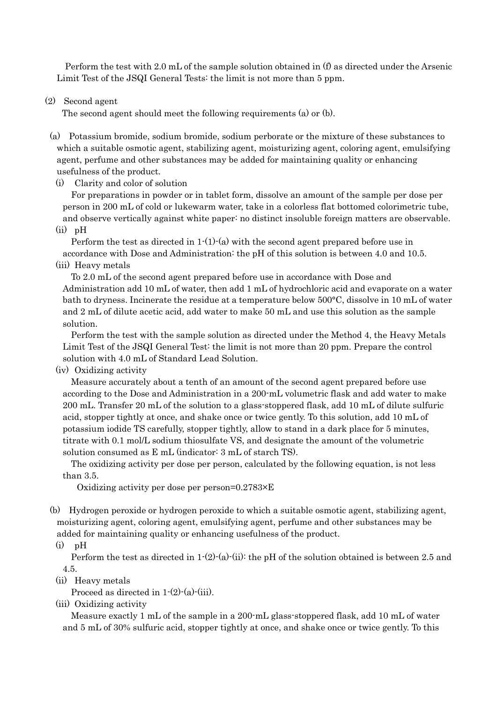Perform the test with 2.0 mL of the sample solution obtained in (f) as directed under the Arsenic Limit Test of the JSQI General Tests: the limit is not more than 5 ppm.

(2) Second agent

The second agent should meet the following requirements (a) or (b).

- (a) Potassium bromide, sodium bromide, sodium perborate or the mixture of these substances to which a suitable osmotic agent, stabilizing agent, moisturizing agent, coloring agent, emulsifying agent, perfume and other substances may be added for maintaining quality or enhancing usefulness of the product.
	- (i) Clarity and color of solution

For preparations in powder or in tablet form, dissolve an amount of the sample per dose per person in 200 mL of cold or lukewarm water, take in a colorless flat bottomed colorimetric tube, and observe vertically against white paper: no distinct insoluble foreign matters are observable. (ii) pH

Perform the test as directed in  $1-(1)-(a)$  with the second agent prepared before use in accordance with Dose and Administration: the pH of this solution is between 4.0 and 10.5. (iii) Heavy metals

To 2.0 mL of the second agent prepared before use in accordance with Dose and Administration add 10 mL of water, then add 1 mL of hydrochloric acid and evaporate on a water bath to dryness. Incinerate the residue at a temperature below 500°C, dissolve in 10 mL of water and 2 mL of dilute acetic acid, add water to make 50 mL and use this solution as the sample solution.

Perform the test with the sample solution as directed under the Method 4, the Heavy Metals Limit Test of the JSQI General Test: the limit is not more than 20 ppm. Prepare the control solution with 4.0 mL of Standard Lead Solution.

(iv) Oxidizing activity

Measure accurately about a tenth of an amount of the second agent prepared before use according to the Dose and Administration in a 200-mL volumetric flask and add water to make 200 mL. Transfer 20 mL of the solution to a glass-stoppered flask, add 10 mL of dilute sulfuric acid, stopper tightly at once, and shake once or twice gently. To this solution, add 10 mL of potassium iodide TS carefully, stopper tightly, allow to stand in a dark place for 5 minutes, titrate with 0.1 mol/L sodium thiosulfate VS, and designate the amount of the volumetric solution consumed as E mL (indicator: 3 mL of starch TS).

The oxidizing activity per dose per person, calculated by the following equation, is not less than 3.5.

Oxidizing activity per dose per person=0.2783×E

- (b) Hydrogen peroxide or hydrogen peroxide to which a suitable osmotic agent, stabilizing agent, moisturizing agent, coloring agent, emulsifying agent, perfume and other substances may be added for maintaining quality or enhancing usefulness of the product.
	- $(i)$  pH

Perform the test as directed in  $1-(2)-(a)-(ii)$ : the pH of the solution obtained is between 2.5 and 4.5.

(ii) Heavy metals

Proceed as directed in  $1-(2)-(a)-(iii)$ .

(iii) Oxidizing activity

Measure exactly 1 mL of the sample in a 200-mL glass-stoppered flask, add 10 mL of water and 5 mL of 30% sulfuric acid, stopper tightly at once, and shake once or twice gently. To this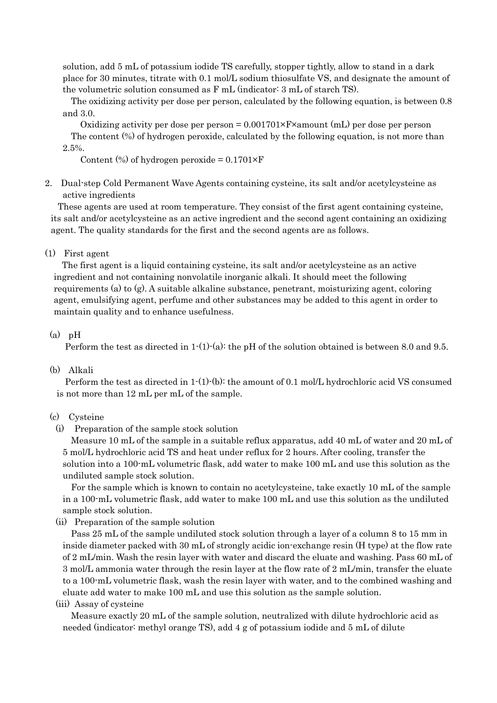solution, add 5 mL of potassium iodide TS carefully, stopper tightly, allow to stand in a dark place for 30 minutes, titrate with 0.1 mol/L sodium thiosulfate VS, and designate the amount of the volumetric solution consumed as F mL (indicator: 3 mL of starch TS).

The oxidizing activity per dose per person, calculated by the following equation, is between 0.8 and 3.0.

Oxidizing activity per dose per person  $= 0.001701 \times F \times$ amount (mL) per dose per person The content (%) of hydrogen peroxide, calculated by the following equation, is not more than 2.5%.

Content  $\left(\% \right)$  of hydrogen peroxide = 0.1701×F

2. Dual-step Cold Permanent Wave Agents containing cysteine, its salt and/or acetylcysteine as active ingredients

These agents are used at room temperature. They consist of the first agent containing cysteine, its salt and/or acetylcysteine as an active ingredient and the second agent containing an oxidizing agent. The quality standards for the first and the second agents are as follows.

## (1) First agent

The first agent is a liquid containing cysteine, its salt and/or acetylcysteine as an active ingredient and not containing nonvolatile inorganic alkali. It should meet the following requirements (a) to (g). A suitable alkaline substance, penetrant, moisturizing agent, coloring agent, emulsifying agent, perfume and other substances may be added to this agent in order to maintain quality and to enhance usefulness.

#### $(a)$  pH

Perform the test as directed in  $1-(1)-(a)$ : the pH of the solution obtained is between 8.0 and 9.5.

## (b) Alkali

Perform the test as directed in 1-(1)-(b): the amount of 0.1 mol/L hydrochloric acid VS consumed is not more than 12 mL per mL of the sample.

#### (c) Cysteine

(i) Preparation of the sample stock solution

Measure 10 mL of the sample in a suitable reflux apparatus, add 40 mL of water and 20 mL of 5 mol/L hydrochloric acid TS and heat under reflux for 2 hours. After cooling, transfer the solution into a 100-mL volumetric flask, add water to make 100 mL and use this solution as the undiluted sample stock solution.

For the sample which is known to contain no acetylcysteine, take exactly 10 mL of the sample in a 100-mL volumetric flask, add water to make 100 mL and use this solution as the undiluted sample stock solution.

(ii) Preparation of the sample solution

Pass 25 mL of the sample undiluted stock solution through a layer of a column 8 to 15 mm in inside diameter packed with 30 mL of strongly acidic ion-exchange resin (H type) at the flow rate of 2 mL/min. Wash the resin layer with water and discard the eluate and washing. Pass 60 mL of 3 mol/L ammonia water through the resin layer at the flow rate of 2 mL/min, transfer the eluate to a 100-mL volumetric flask, wash the resin layer with water, and to the combined washing and eluate add water to make 100 mL and use this solution as the sample solution.

#### (iii) Assay of cysteine

Measure exactly 20 mL of the sample solution, neutralized with dilute hydrochloric acid as needed (indicator: methyl orange TS), add 4 g of potassium iodide and 5 mL of dilute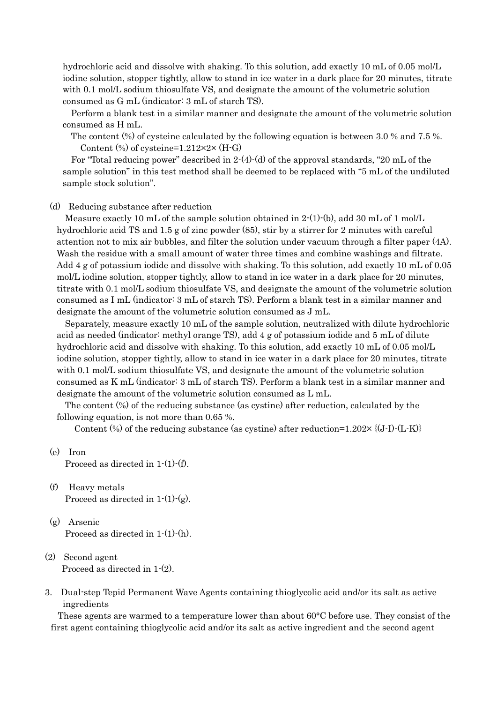hydrochloric acid and dissolve with shaking. To this solution, add exactly 10 mL of 0.05 mol/L iodine solution, stopper tightly, allow to stand in ice water in a dark place for 20 minutes, titrate with 0.1 mol/L sodium thiosulfate VS, and designate the amount of the volumetric solution consumed as G mL (indicator: 3 mL of starch TS).

Perform a blank test in a similar manner and designate the amount of the volumetric solution consumed as H mL.

The content (%) of cysteine calculated by the following equation is between 3.0 % and 7.5 %. Content  $%$  of cysteine=1.212×2× (H-G)

For "Total reducing power" described in  $2-(4)-(d)$  of the approval standards, "20 mL of the sample solution" in this test method shall be deemed to be replaced with "5 mL of the undiluted sample stock solution".

(d) Reducing substance after reduction

Measure exactly 10 mL of the sample solution obtained in  $2-(1)-(b)$ , add 30 mL of 1 mol/L hydrochloric acid TS and 1.5 g of zinc powder (85), stir by a stirrer for 2 minutes with careful attention not to mix air bubbles, and filter the solution under vacuum through a filter paper (4A). Wash the residue with a small amount of water three times and combine washings and filtrate. Add 4 g of potassium iodide and dissolve with shaking. To this solution, add exactly 10 mL of 0.05 mol/L iodine solution, stopper tightly, allow to stand in ice water in a dark place for 20 minutes, titrate with 0.1 mol/L sodium thiosulfate VS, and designate the amount of the volumetric solution consumed as I mL (indicator: 3 mL of starch TS). Perform a blank test in a similar manner and designate the amount of the volumetric solution consumed as J mL.

Separately, measure exactly 10 mL of the sample solution, neutralized with dilute hydrochloric acid as needed (indicator: methyl orange TS), add 4 g of potassium iodide and 5 mL of dilute hydrochloric acid and dissolve with shaking. To this solution, add exactly 10 mL of 0.05 mol/L iodine solution, stopper tightly, allow to stand in ice water in a dark place for 20 minutes, titrate with 0.1 mol/L sodium thiosulfate VS, and designate the amount of the volumetric solution consumed as K mL (indicator: 3 mL of starch TS). Perform a blank test in a similar manner and designate the amount of the volumetric solution consumed as L mL.

The content (%) of the reducing substance (as cystine) after reduction, calculated by the following equation, is not more than 0.65 %.

Content  $\textcircled{\tiny 8}$ ) of the reducing substance (as cystine) after reduction=1.202× {(J-I)-(L-K)}

(e) Iron

Proceed as directed in 1-(1)-(f).

- (f) Heavy metals Proceed as directed in  $1-(1)-(g)$ .
- (g) Arsenic Proceed as directed in 1-(1)-(h).
- (2) Second agent Proceed as directed in 1-(2).
- 3. Dual-step Tepid Permanent Wave Agents containing thioglycolic acid and/or its salt as active ingredients

These agents are warmed to a temperature lower than about 60°C before use. They consist of the first agent containing thioglycolic acid and/or its salt as active ingredient and the second agent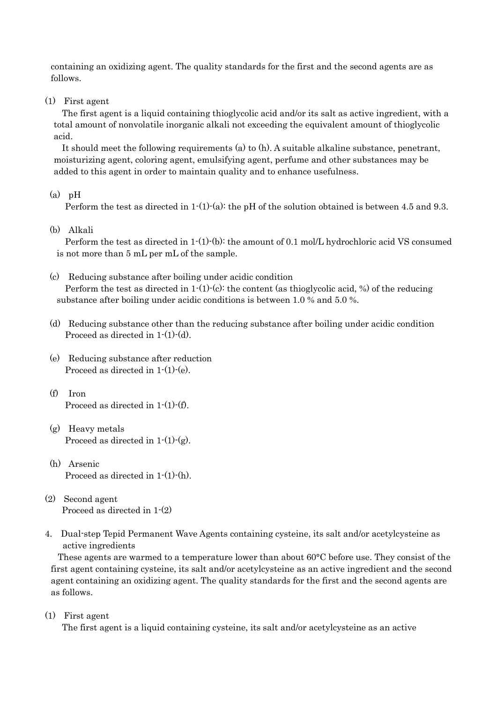containing an oxidizing agent. The quality standards for the first and the second agents are as follows.

(1) First agent

The first agent is a liquid containing thioglycolic acid and/or its salt as active ingredient, with a total amount of nonvolatile inorganic alkali not exceeding the equivalent amount of thioglycolic acid.

It should meet the following requirements (a) to (h). A suitable alkaline substance, penetrant, moisturizing agent, coloring agent, emulsifying agent, perfume and other substances may be added to this agent in order to maintain quality and to enhance usefulness.

#### $(a)$  pH

Perform the test as directed in 1-(1)-(a): the pH of the solution obtained is between 4.5 and 9.3.

(b) Alkali

Perform the test as directed in 1-(1)-(b): the amount of 0.1 mol/L hydrochloric acid VS consumed is not more than 5 mL per mL of the sample.

(c) Reducing substance after boiling under acidic condition

Perform the test as directed in  $1-(1)-(c)$ : the content (as thioglycolic acid, %) of the reducing substance after boiling under acidic conditions is between 1.0 % and 5.0 %.

- (d) Reducing substance other than the reducing substance after boiling under acidic condition Proceed as directed in 1-(1)-(d).
- (e) Reducing substance after reduction Proceed as directed in 1-(1)-(e).
- (f) Iron Proceed as directed in 1-(1)-(f).
- (g) Heavy metals Proceed as directed in  $1-(1)-(g)$ .
- (h) Arsenic Proceed as directed in 1-(1)-(h).
- (2) Second agent Proceed as directed in 1-(2)
- 4. Dual-step Tepid Permanent Wave Agents containing cysteine, its salt and/or acetylcysteine as active ingredients

These agents are warmed to a temperature lower than about 60°C before use. They consist of the first agent containing cysteine, its salt and/or acetylcysteine as an active ingredient and the second agent containing an oxidizing agent. The quality standards for the first and the second agents are as follows.

(1) First agent

The first agent is a liquid containing cysteine, its salt and/or acetylcysteine as an active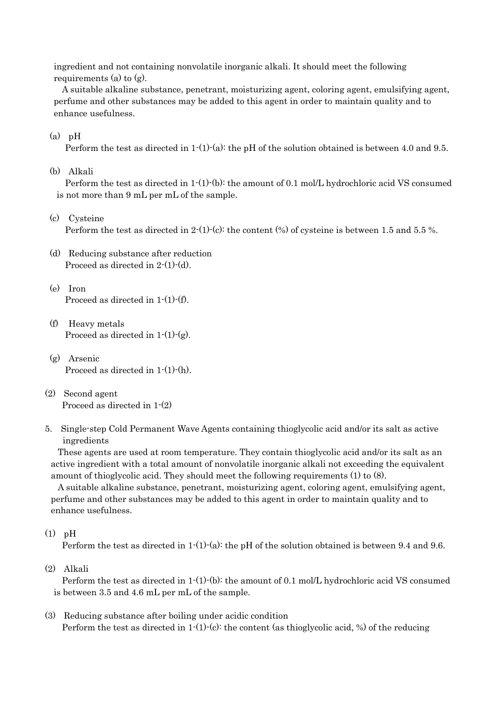ingredient and not containing nonvolatile inorganic alkali. It should meet the following requirements (a) to (g).

A suitable alkaline substance, penetrant, moisturizing agent, coloring agent, emulsifying agent, perfume and other substances may be added to this agent in order to maintain quality and to enhance usefulness.

 $(a)$  pH

Perform the test as directed in  $1-(1)-(a)$ : the pH of the solution obtained is between 4.0 and 9.5.

(b) Alkali

Perform the test as directed in 1-(1)-(b): the amount of 0.1 mol/L hydrochloric acid VS consumed is not more than 9 mL per mL of the sample.

(c) Cysteine

Perform the test as directed in 2-(1)-(c): the content (%) of cysteine is between 1.5 and 5.5 %.

- (d) Reducing substance after reduction Proceed as directed in 2-(1)-(d).
- (e) Iron Proceed as directed in 1-(1)-(f).
- (f) Heavy metals Proceed as directed in  $1-(1)-(g)$ .
- (g) Arsenic Proceed as directed in 1-(1)-(h).
- (2) Second agent Proceed as directed in 1-(2)
- 5. Single-step Cold Permanent Wave Agents containing thioglycolic acid and/or its salt as active ingredients

These agents are used at room temperature. They contain thioglycolic acid and/or its salt as an active ingredient with a total amount of nonvolatile inorganic alkali not exceeding the equivalent amount of thioglycolic acid. They should meet the following requirements (1) to (8).

A suitable alkaline substance, penetrant, moisturizing agent, coloring agent, emulsifying agent, perfume and other substances may be added to this agent in order to maintain quality and to enhance usefulness.

# (1) pH

Perform the test as directed in  $1-(1)-(a)$ : the pH of the solution obtained is between 9.4 and 9.6.

(2) Alkali

Perform the test as directed in 1-(1)-(b): the amount of 0.1 mol/L hydrochloric acid VS consumed is between 3.5 and 4.6 mL per mL of the sample.

(3) Reducing substance after boiling under acidic condition Perform the test as directed in  $1-(1)-(c)$ : the content (as thioglycolic acid, %) of the reducing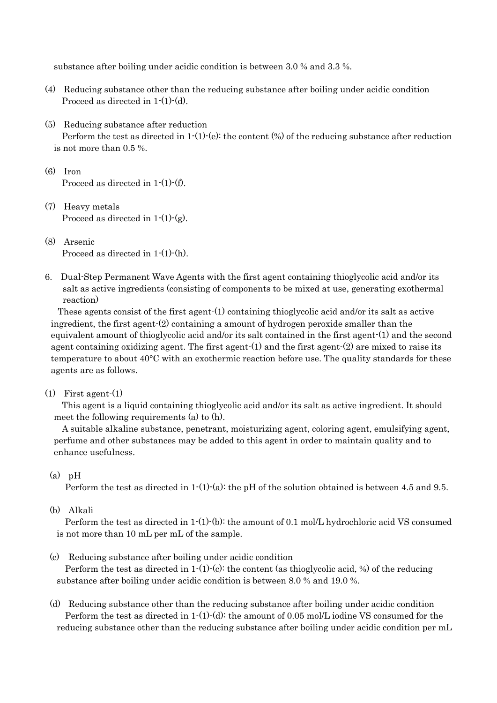substance after boiling under acidic condition is between 3.0 % and 3.3 %.

- (4) Reducing substance other than the reducing substance after boiling under acidic condition Proceed as directed in 1-(1)-(d).
- (5) Reducing substance after reduction Perform the test as directed in 1-(1)-(e): the content (%) of the reducing substance after reduction is not more than 0.5 %.
- (6) Iron Proceed as directed in 1-(1)-(f).
- (7) Heavy metals Proceed as directed in  $1-(1)-(g)$ .
- (8) Arsenic Proceed as directed in 1-(1)-(h).
- 6. Dual-Step Permanent Wave Agents with the first agent containing thioglycolic acid and/or its salt as active ingredients (consisting of components to be mixed at use, generating exothermal reaction)

These agents consist of the first agent-(1) containing thioglycolic acid and/or its salt as active ingredient, the first agent-(2) containing a amount of hydrogen peroxide smaller than the equivalent amount of thioglycolic acid and/or its salt contained in the first agent-(1) and the second agent containing oxidizing agent. The first agent- $(1)$  and the first agent- $(2)$  are mixed to raise its temperature to about 40°C with an exothermic reaction before use. The quality standards for these agents are as follows.

## $(1)$  First agent- $(1)$

This agent is a liquid containing thioglycolic acid and/or its salt as active ingredient. It should meet the following requirements (a) to (h).

A suitable alkaline substance, penetrant, moisturizing agent, coloring agent, emulsifying agent, perfume and other substances may be added to this agent in order to maintain quality and to enhance usefulness.

# $(a)$  pH

Perform the test as directed in 1-(1)-(a): the pH of the solution obtained is between 4.5 and 9.5.

# (b) Alkali

Perform the test as directed in 1-(1)-(b): the amount of 0.1 mol/L hydrochloric acid VS consumed is not more than 10 mL per mL of the sample.

(c) Reducing substance after boiling under acidic condition

Perform the test as directed in  $1-(1)-(c)$ : the content (as thioglycolic acid, %) of the reducing substance after boiling under acidic condition is between 8.0 % and 19.0 %.

(d) Reducing substance other than the reducing substance after boiling under acidic condition Perform the test as directed in  $1-(1)-(d)$ : the amount of 0.05 mol/L iodine VS consumed for the reducing substance other than the reducing substance after boiling under acidic condition per mL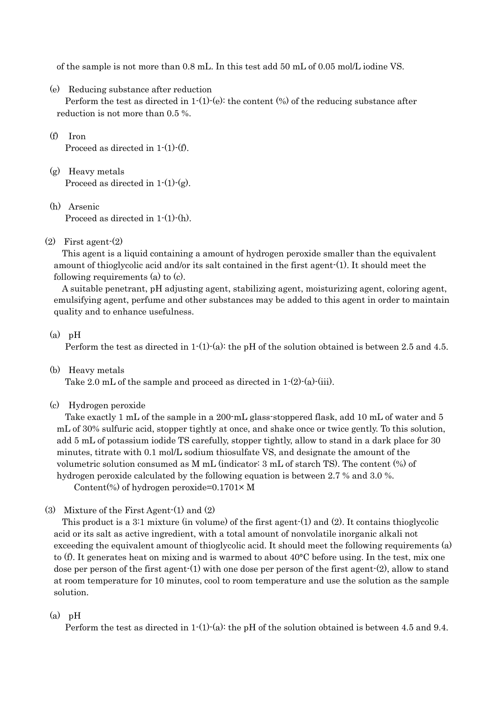of the sample is not more than 0.8 mL. In this test add 50 mL of 0.05 mol/L iodine VS.

(e) Reducing substance after reduction

Perform the test as directed in  $1-(1)-(e)$ : the content  $%$  of the reducing substance after reduction is not more than 0.5 %.

- (f) Iron Proceed as directed in 1-(1)-(f).
- (g) Heavy metals Proceed as directed in  $1-(1)-(g)$ .
- (h) Arsenic Proceed as directed in 1-(1)-(h).

# (2) First agent-(2)

This agent is a liquid containing a amount of hydrogen peroxide smaller than the equivalent amount of thioglycolic acid and/or its salt contained in the first agent-(1). It should meet the following requirements (a) to (c).

A suitable penetrant, pH adjusting agent, stabilizing agent, moisturizing agent, coloring agent, emulsifying agent, perfume and other substances may be added to this agent in order to maintain quality and to enhance usefulness.

## $(a)$  pH

Perform the test as directed in  $1-(1)-(a)$ : the pH of the solution obtained is between 2.5 and 4.5.

(b) Heavy metals

Take 2.0 mL of the sample and proceed as directed in  $1-(2)-(a)-(iii)$ .

(c) Hydrogen peroxide

Take exactly 1 mL of the sample in a 200-mL glass-stoppered flask, add 10 mL of water and 5 mL of 30% sulfuric acid, stopper tightly at once, and shake once or twice gently. To this solution, add 5 mL of potassium iodide TS carefully, stopper tightly, allow to stand in a dark place for 30 minutes, titrate with 0.1 mol/L sodium thiosulfate VS, and designate the amount of the volumetric solution consumed as M mL (indicator: 3 mL of starch TS). The content (%) of hydrogen peroxide calculated by the following equation is between 2.7 % and 3.0 %.

Content(%) of hydrogen peroxide= $0.1701 \times M$ 

(3) Mixture of the First Agent-(1) and (2)

This product is a 3:1 mixture (in volume) of the first agent-(1) and (2). It contains thioglycolic acid or its salt as active ingredient, with a total amount of nonvolatile inorganic alkali not exceeding the equivalent amount of thioglycolic acid. It should meet the following requirements (a) to (f). It generates heat on mixing and is warmed to about 40°C before using. In the test, mix one dose per person of the first agent-(1) with one dose per person of the first agent-(2), allow to stand at room temperature for 10 minutes, cool to room temperature and use the solution as the sample solution.

# $(a)$  pH

Perform the test as directed in  $1-(1)-(a)$ : the pH of the solution obtained is between 4.5 and 9.4.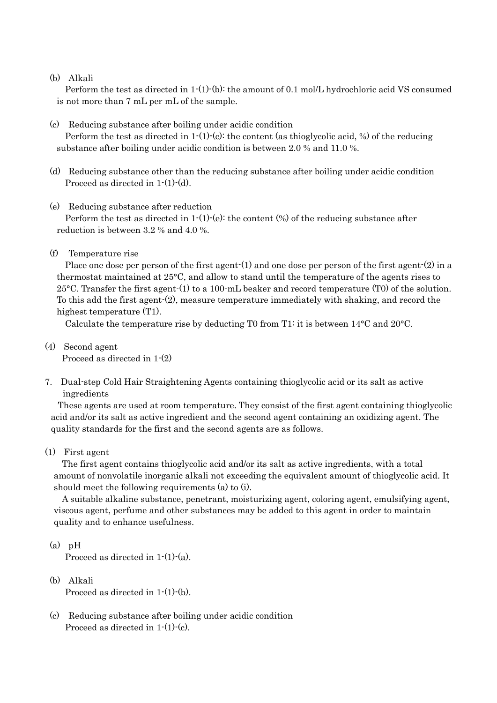#### (b) Alkali

Perform the test as directed in 1-(1)-(b): the amount of 0.1 mol/L hydrochloric acid VS consumed is not more than 7 mL per mL of the sample.

(c) Reducing substance after boiling under acidic condition

Perform the test as directed in  $1-(1)-(c)$ : the content (as thioglycolic acid, %) of the reducing substance after boiling under acidic condition is between 2.0 % and 11.0 %.

- (d) Reducing substance other than the reducing substance after boiling under acidic condition Proceed as directed in 1-(1)-(d).
- (e) Reducing substance after reduction

Perform the test as directed in  $1-(1)-(e)$ : the content  $(\%)$  of the reducing substance after reduction is between 3.2 % and 4.0 %.

(f) Temperature rise

Place one dose per person of the first agent-(1) and one dose per person of the first agent-(2) in a thermostat maintained at 25°C, and allow to stand until the temperature of the agents rises to 25°C. Transfer the first agent-(1) to a 100-mL beaker and record temperature (T0) of the solution. To this add the first agent-(2), measure temperature immediately with shaking, and record the highest temperature  $(T1)$ .

Calculate the temperature rise by deducting T0 from T1: it is between 14°C and 20°C.

(4) Second agent

Proceed as directed in 1-(2)

7. Dual-step Cold Hair Straightening Agents containing thioglycolic acid or its salt as active ingredients

These agents are used at room temperature. They consist of the first agent containing thioglycolic acid and/or its salt as active ingredient and the second agent containing an oxidizing agent. The quality standards for the first and the second agents are as follows.

(1) First agent

The first agent contains thioglycolic acid and/or its salt as active ingredients, with a total amount of nonvolatile inorganic alkali not exceeding the equivalent amount of thioglycolic acid. It should meet the following requirements (a) to (i).

A suitable alkaline substance, penetrant, moisturizing agent, coloring agent, emulsifying agent, viscous agent, perfume and other substances may be added to this agent in order to maintain quality and to enhance usefulness.

 $(a)$  pH

Proceed as directed in  $1-(1)-(a)$ .

- (b) Alkali Proceed as directed in 1-(1)-(b).
- (c) Reducing substance after boiling under acidic condition Proceed as directed in 1-(1)-(c).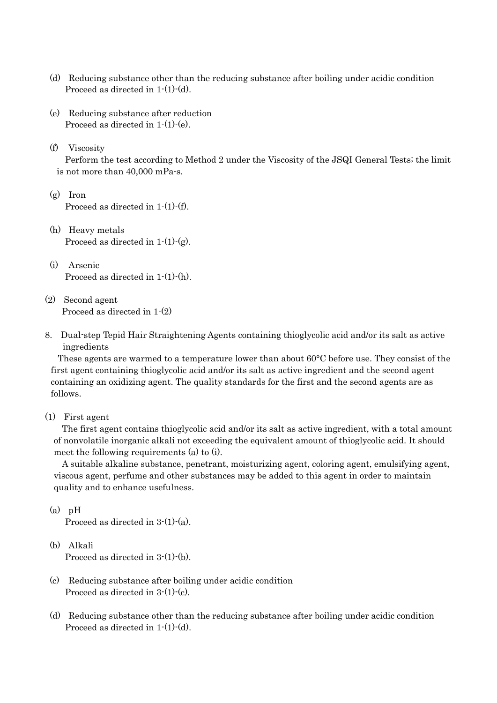- (d) Reducing substance other than the reducing substance after boiling under acidic condition Proceed as directed in 1-(1)-(d).
- (e) Reducing substance after reduction Proceed as directed in 1-(1)-(e).
- (f) Viscosity

Perform the test according to Method 2 under the Viscosity of the JSQI General Tests; the limit is not more than  $40.000$  mPa $\cdot$ s.

- $(g)$  Iron Proceed as directed in 1-(1)-(f).
- (h) Heavy metals Proceed as directed in  $1-(1)-(g)$ .
- (i) Arsenic Proceed as directed in 1-(1)-(h).
- (2) Second agent Proceed as directed in 1-(2)
- 8. Dual-step Tepid Hair Straightening Agents containing thioglycolic acid and/or its salt as active ingredients

These agents are warmed to a temperature lower than about 60°C before use. They consist of the first agent containing thioglycolic acid and/or its salt as active ingredient and the second agent containing an oxidizing agent. The quality standards for the first and the second agents are as follows.

(1) First agent

The first agent contains thioglycolic acid and/or its salt as active ingredient, with a total amount of nonvolatile inorganic alkali not exceeding the equivalent amount of thioglycolic acid. It should meet the following requirements (a) to (i).

A suitable alkaline substance, penetrant, moisturizing agent, coloring agent, emulsifying agent, viscous agent, perfume and other substances may be added to this agent in order to maintain quality and to enhance usefulness.

 $(a)$  pH

Proceed as directed in  $3-(1)-(a)$ .

(b) Alkali

Proceed as directed in 3-(1)-(b).

- (c) Reducing substance after boiling under acidic condition Proceed as directed in 3-(1)-(c).
- (d) Reducing substance other than the reducing substance after boiling under acidic condition Proceed as directed in 1-(1)-(d).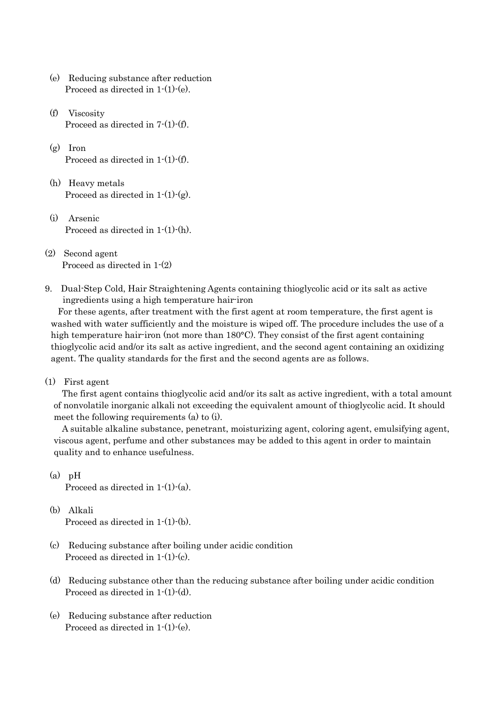- (e) Reducing substance after reduction Proceed as directed in 1-(1)-(e).
- (f) Viscosity Proceed as directed in 7-(1)-(f).
- (g) Iron Proceed as directed in 1-(1)-(f).
- (h) Heavy metals Proceed as directed in  $1-(1)-(g)$ .
- (i) Arsenic Proceed as directed in 1-(1)-(h).
- (2) Second agent Proceed as directed in 1-(2)
- 9. Dual-Step Cold, Hair Straightening Agents containing thioglycolic acid or its salt as active ingredients using a high temperature hair-iron

For these agents, after treatment with the first agent at room temperature, the first agent is washed with water sufficiently and the moisture is wiped off. The procedure includes the use of a high temperature hair-iron (not more than 180°C). They consist of the first agent containing thioglycolic acid and/or its salt as active ingredient, and the second agent containing an oxidizing agent. The quality standards for the first and the second agents are as follows.

(1) First agent

The first agent contains thioglycolic acid and/or its salt as active ingredient, with a total amount of nonvolatile inorganic alkali not exceeding the equivalent amount of thioglycolic acid. It should meet the following requirements (a) to (i).

A suitable alkaline substance, penetrant, moisturizing agent, coloring agent, emulsifying agent, viscous agent, perfume and other substances may be added to this agent in order to maintain quality and to enhance usefulness.

 $(a)$  pH

Proceed as directed in 1-(1)-(a).

- (b) Alkali Proceed as directed in 1-(1)-(b).
- (c) Reducing substance after boiling under acidic condition Proceed as directed in 1-(1)-(c).
- (d) Reducing substance other than the reducing substance after boiling under acidic condition Proceed as directed in 1-(1)-(d).
- (e) Reducing substance after reduction Proceed as directed in 1-(1)-(e).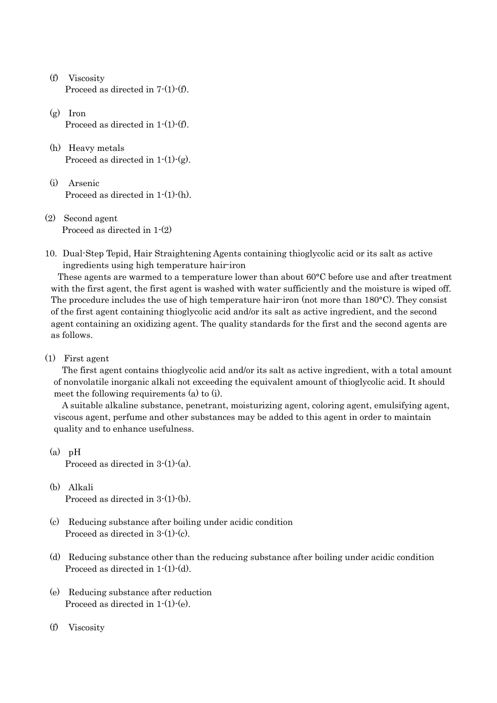- (f) Viscosity Proceed as directed in 7-(1)-(f).
- (g) Iron Proceed as directed in 1-(1)-(f).
- (h) Heavy metals Proceed as directed in  $1-(1)-(g)$ .
- (i) Arsenic Proceed as directed in 1-(1)-(h).
- (2) Second agent Proceed as directed in 1-(2)
- 10. Dual-Step Tepid, Hair Straightening Agents containing thioglycolic acid or its salt as active ingredients using high temperature hair-iron

These agents are warmed to a temperature lower than about 60°C before use and after treatment with the first agent, the first agent is washed with water sufficiently and the moisture is wiped off. The procedure includes the use of high temperature hair-iron (not more than 180°C). They consist of the first agent containing thioglycolic acid and/or its salt as active ingredient, and the second agent containing an oxidizing agent. The quality standards for the first and the second agents are as follows.

(1) First agent

The first agent contains thioglycolic acid and/or its salt as active ingredient, with a total amount of nonvolatile inorganic alkali not exceeding the equivalent amount of thioglycolic acid. It should meet the following requirements (a) to (i).

A suitable alkaline substance, penetrant, moisturizing agent, coloring agent, emulsifying agent, viscous agent, perfume and other substances may be added to this agent in order to maintain quality and to enhance usefulness.

- $(a)$  pH Proceed as directed in 3-(1)-(a).
- (b) Alkali Proceed as directed in 3-(1)-(b).
- (c) Reducing substance after boiling under acidic condition Proceed as directed in 3-(1)-(c).
- (d) Reducing substance other than the reducing substance after boiling under acidic condition Proceed as directed in 1-(1)-(d).
- (e) Reducing substance after reduction Proceed as directed in 1-(1)-(e).
- (f) Viscosity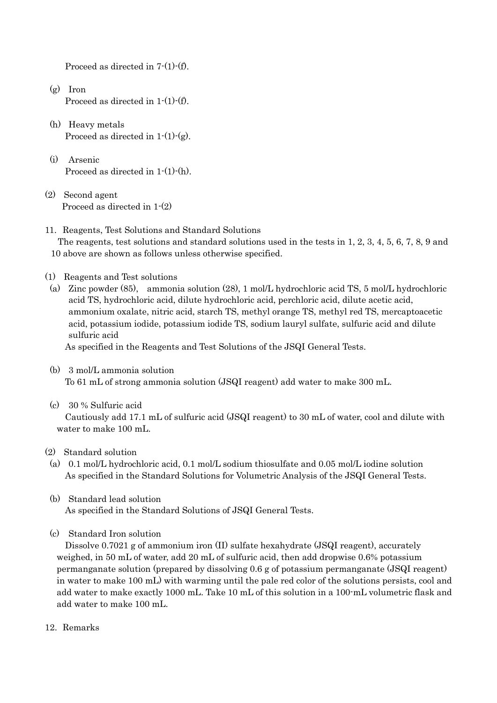Proceed as directed in 7-(1)-(f).

- $(g)$  Iron Proceed as directed in 1-(1)-(f).
- (h) Heavy metals Proceed as directed in  $1-(1)-(g)$ .
- (i) Arsenic Proceed as directed in 1-(1)-(h).
- (2) Second agent Proceed as directed in 1-(2)
- 11. Reagents, Test Solutions and Standard Solutions The reagents, test solutions and standard solutions used in the tests in 1, 2, 3, 4, 5, 6, 7, 8, 9 and

10 above are shown as follows unless otherwise specified.

- (1) Reagents and Test solutions
- (a) Zinc powder (85), ammonia solution (28), 1 mol/L hydrochloric acid TS, 5 mol/L hydrochloric acid TS, hydrochloric acid, dilute hydrochloric acid, perchloric acid, dilute acetic acid, ammonium oxalate, nitric acid, starch TS, methyl orange TS, methyl red TS, mercaptoacetic acid, potassium iodide, potassium iodide TS, sodium lauryl sulfate, sulfuric acid and dilute sulfuric acid

As specified in the Reagents and Test Solutions of the JSQI General Tests.

- (b) 3 mol/L ammonia solution To 61 mL of strong ammonia solution (JSQI reagent) add water to make 300 mL.
- (c) 30 % Sulfuric acid

Cautiously add 17.1 mL of sulfuric acid (JSQI reagent) to 30 mL of water, cool and dilute with water to make 100 mL.

- (2) Standard solution
- (a) 0.1 mol/L hydrochloric acid, 0.1 mol/L sodium thiosulfate and 0.05 mol/L iodine solution As specified in the Standard Solutions for Volumetric Analysis of the JSQI General Tests.
- (b) Standard lead solution As specified in the Standard Solutions of JSQI General Tests.
- (c) Standard Iron solution

Dissolve 0.7021 g of ammonium iron (II) sulfate hexahydrate (JSQI reagent), accurately weighed, in 50 mL of water, add 20 mL of sulfuric acid, then add dropwise 0.6% potassium permanganate solution (prepared by dissolving 0.6 g of potassium permanganate (JSQI reagent) in water to make 100 mL) with warming until the pale red color of the solutions persists, cool and add water to make exactly 1000 mL. Take 10 mL of this solution in a 100-mL volumetric flask and add water to make 100 mL.

12. Remarks